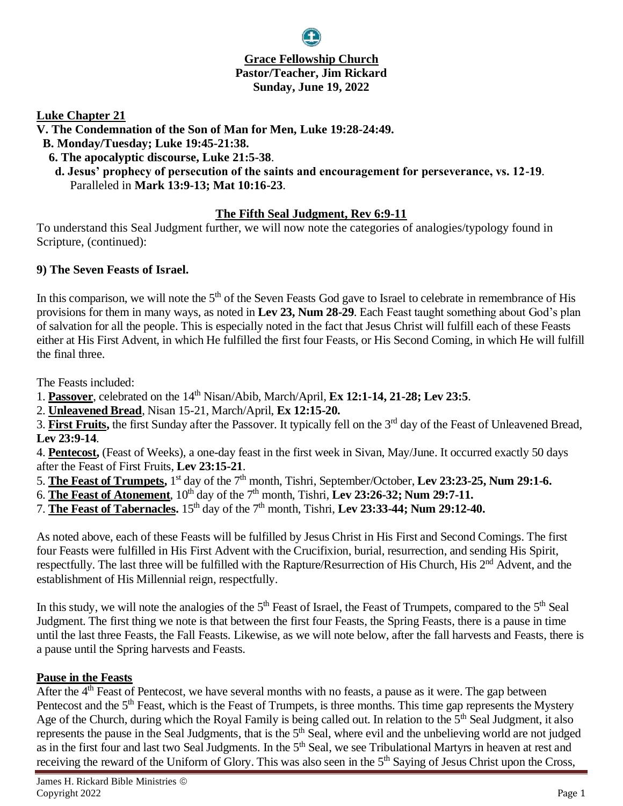## **Grace Fellowship Church Pastor/Teacher, Jim Rickard Sunday, June 19, 2022**

**Luke Chapter 21**

- **V. The Condemnation of the Son of Man for Men, Luke 19:28-24:49.**
- **B. Monday/Tuesday; Luke 19:45-21:38.**
- **6. The apocalyptic discourse, Luke 21:5-38**.
- **d. Jesus' prophecy of persecution of the saints and encouragement for perseverance, vs. 12-19**. Paralleled in **Mark 13:9-13; Mat 10:16-23**.

#### **The Fifth Seal Judgment, Rev 6:9-11**

To understand this Seal Judgment further, we will now note the categories of analogies/typology found in Scripture, (continued):

#### **9) The Seven Feasts of Israel.**

In this comparison, we will note the  $5<sup>th</sup>$  of the Seven Feasts God gave to Israel to celebrate in remembrance of His provisions for them in many ways, as noted in **Lev 23, Num 28-29**. Each Feast taught something about God's plan of salvation for all the people. This is especially noted in the fact that Jesus Christ will fulfill each of these Feasts either at His First Advent, in which He fulfilled the first four Feasts, or His Second Coming, in which He will fulfill the final three.

The Feasts included:

- 1. Passover, celebrated on the 14<sup>th</sup> Nisan/Abib, March/April, **Ex 12:1-14, 21-28; Lev 23:5**.
- 2. **Unleavened Bread**, Nisan 15-21, March/April, **Ex 12:15-20.**

3. **First Fruits,** the first Sunday after the Passover. It typically fell on the 3rd day of the Feast of Unleavened Bread, **Lev 23:9-14**.

4. **Pentecost,** (Feast of Weeks), a one-day feast in the first week in Sivan, May/June. It occurred exactly 50 days after the Feast of First Fruits, **Lev 23:15-21**.

- 5. The Feast of Trumpets, 1<sup>st</sup> day of the 7<sup>th</sup> month, Tishri, September/October, Lev 23:23-25, Num 29:1-6.
- 6. **The Feast of Atonement**,  $10^{th}$  day of the  $7^{th}$  month, Tishri, **Lev 23:26-32; Num 29:7-11.**
- 7. **The Feast of Tabernacles.** 15th day of the 7th month, Tishri, **Lev 23:33-44; Num 29:12-40.**

As noted above, each of these Feasts will be fulfilled by Jesus Christ in His First and Second Comings. The first four Feasts were fulfilled in His First Advent with the Crucifixion, burial, resurrection, and sending His Spirit, respectfully. The last three will be fulfilled with the Rapture/Resurrection of His Church, His 2<sup>nd</sup> Advent, and the establishment of His Millennial reign, respectfully.

In this study, we will note the analogies of the  $5<sup>th</sup>$  Feast of Israel, the Feast of Trumpets, compared to the  $5<sup>th</sup>$  Seal Judgment. The first thing we note is that between the first four Feasts, the Spring Feasts, there is a pause in time until the last three Feasts, the Fall Feasts. Likewise, as we will note below, after the fall harvests and Feasts, there is a pause until the Spring harvests and Feasts.

## **Pause in the Feasts**

After the 4<sup>th</sup> Feast of Pentecost, we have several months with no feasts, a pause as it were. The gap between Pentecost and the  $5<sup>th</sup>$  Feast, which is the Feast of Trumpets, is three months. This time gap represents the Mystery Age of the Church, during which the Royal Family is being called out. In relation to the  $5<sup>th</sup>$  Seal Judgment, it also represents the pause in the Seal Judgments, that is the 5<sup>th</sup> Seal, where evil and the unbelieving world are not judged as in the first four and last two Seal Judgments. In the 5<sup>th</sup> Seal, we see Tribulational Martyrs in heaven at rest and receiving the reward of the Uniform of Glory. This was also seen in the 5<sup>th</sup> Saying of Jesus Christ upon the Cross,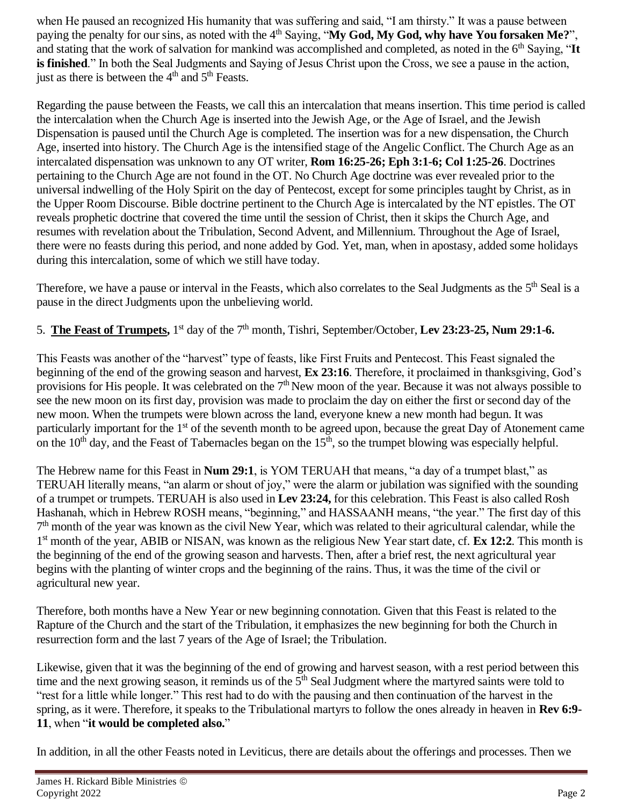when He paused an recognized His humanity that was suffering and said, "I am thirsty." It was a pause between paying the penalty for our sins, as noted with the 4<sup>th</sup> Saying, "My God, My God, why have You forsaken Me?", and stating that the work of salvation for mankind was accomplished and completed, as noted in the  $6<sup>th</sup>$  Saying, "It **is finished**." In both the Seal Judgments and Saying of Jesus Christ upon the Cross, we see a pause in the action, just as there is between the  $4<sup>th</sup>$  and  $5<sup>th</sup>$  Feasts.

Regarding the pause between the Feasts, we call this an intercalation that means insertion. This time period is called the intercalation when the Church Age is inserted into the Jewish Age, or the Age of Israel, and the Jewish Dispensation is paused until the Church Age is completed. The insertion was for a new dispensation, the Church Age, inserted into history. The Church Age is the intensified stage of the Angelic Conflict. The Church Age as an intercalated dispensation was unknown to any OT writer, **Rom 16:25-26; Eph 3:1-6; Col 1:25-26**. Doctrines pertaining to the Church Age are not found in the OT. No Church Age doctrine was ever revealed prior to the universal indwelling of the Holy Spirit on the day of Pentecost, except for some principles taught by Christ, as in the Upper Room Discourse. Bible doctrine pertinent to the Church Age is intercalated by the NT epistles. The OT reveals prophetic doctrine that covered the time until the session of Christ, then it skips the Church Age, and resumes with revelation about the Tribulation, Second Advent, and Millennium. Throughout the Age of Israel, there were no feasts during this period, and none added by God. Yet, man, when in apostasy, added some holidays during this intercalation, some of which we still have today.

Therefore, we have a pause or interval in the Feasts, which also correlates to the Seal Judgments as the 5<sup>th</sup> Seal is a pause in the direct Judgments upon the unbelieving world.

# 5. **The Feast of Trumpets,** 1 st day of the 7th month, Tishri, September/October, **Lev 23:23-25, Num 29:1-6.**

This Feasts was another of the "harvest" type of feasts, like First Fruits and Pentecost. This Feast signaled the beginning of the end of the growing season and harvest, **Ex 23:16**. Therefore, it proclaimed in thanksgiving, God's provisions for His people. It was celebrated on the  $7<sup>th</sup>$  New moon of the year. Because it was not always possible to see the new moon on its first day, provision was made to proclaim the day on either the first or second day of the new moon. When the trumpets were blown across the land, everyone knew a new month had begun. It was particularly important for the 1<sup>st</sup> of the seventh month to be agreed upon, because the great Day of Atonement came on the  $10<sup>th</sup>$  day, and the Feast of Tabernacles began on the  $15<sup>th</sup>$ , so the trumpet blowing was especially helpful.

The Hebrew name for this Feast in **Num 29:1**, is YOM TERUAH that means, "a day of a trumpet blast," as TERUAH literally means, "an alarm or shout of joy," were the alarm or jubilation was signified with the sounding of a trumpet or trumpets. TERUAH is also used in **Lev 23:24,** for this celebration. This Feast is also called Rosh Hashanah, which in Hebrew ROSH means, "beginning," and HASSAANH means, "the year." The first day of this 7<sup>th</sup> month of the year was known as the civil New Year, which was related to their agricultural calendar, while the 1 st month of the year, ABIB or NISAN, was known as the religious New Year start date, cf. **Ex 12:2**. This month is the beginning of the end of the growing season and harvests. Then, after a brief rest, the next agricultural year begins with the planting of winter crops and the beginning of the rains. Thus, it was the time of the civil or agricultural new year.

Therefore, both months have a New Year or new beginning connotation. Given that this Feast is related to the Rapture of the Church and the start of the Tribulation, it emphasizes the new beginning for both the Church in resurrection form and the last 7 years of the Age of Israel; the Tribulation.

Likewise, given that it was the beginning of the end of growing and harvest season, with a rest period between this time and the next growing season, it reminds us of the  $5<sup>th</sup>$  Seal Judgment where the martyred saints were told to "rest for a little while longer." This rest had to do with the pausing and then continuation of the harvest in the spring, as it were. Therefore, it speaks to the Tribulational martyrs to follow the ones already in heaven in **Rev 6:9- 11**, when "**it would be completed also.**"

In addition, in all the other Feasts noted in Leviticus, there are details about the offerings and processes. Then we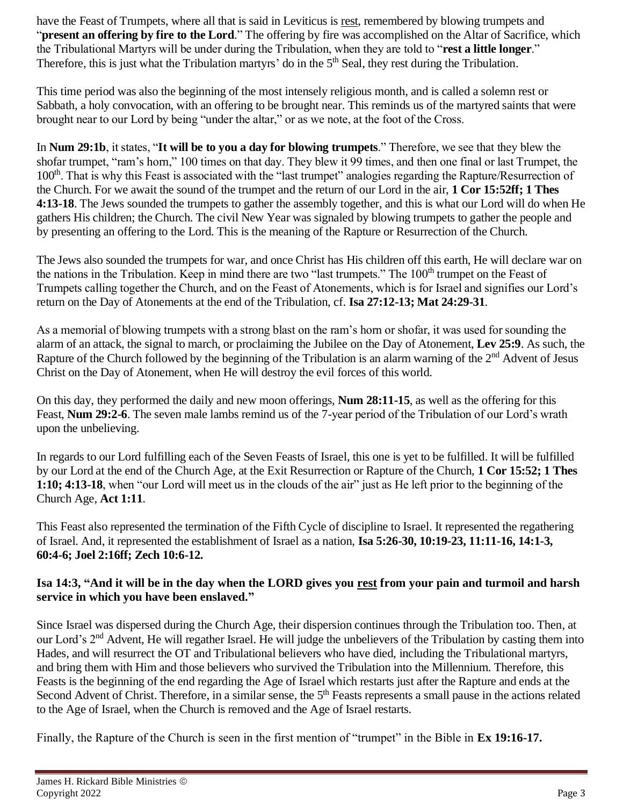have the Feast of Trumpets, where all that is said in Leviticus is rest, remembered by blowing trumpets and "**present an offering by fire to the Lord**." The offering by fire was accomplished on the Altar of Sacrifice, which the Tribulational Martyrs will be under during the Tribulation, when they are told to "**rest a little longer**." Therefore, this is just what the Tribulation martyrs' do in the  $5<sup>th</sup>$  Seal, they rest during the Tribulation.

This time period was also the beginning of the most intensely religious month, and is called a solemn rest or Sabbath, a holy convocation, with an offering to be brought near. This reminds us of the martyred saints that were brought near to our Lord by being "under the altar," or as we note, at the foot of the Cross.

In **Num 29:1b**, it states, "**It will be to you a day for blowing trumpets**." Therefore, we see that they blew the shofar trumpet, "ram's horn," 100 times on that day. They blew it 99 times, and then one final or last Trumpet, the 100th. That is why this Feast is associated with the "last trumpet" analogies regarding the Rapture/Resurrection of the Church. For we await the sound of the trumpet and the return of our Lord in the air, **1 Cor 15:52ff; 1 Thes 4:13-18**. The Jews sounded the trumpets to gather the assembly together, and this is what our Lord will do when He gathers His children; the Church. The civil New Year was signaled by blowing trumpets to gather the people and by presenting an offering to the Lord. This is the meaning of the Rapture or Resurrection of the Church.

The Jews also sounded the trumpets for war, and once Christ has His children off this earth, He will declare war on the nations in the Tribulation. Keep in mind there are two "last trumpets." The 100<sup>th</sup> trumpet on the Feast of Trumpets calling together the Church, and on the Feast of Atonements, which is for Israel and signifies our Lord's return on the Day of Atonements at the end of the Tribulation, cf. **Isa 27:12-13; Mat 24:29-31**.

As a memorial of blowing trumpets with a strong blast on the ram's horn or shofar, it was used for sounding the alarm of an attack, the signal to march, or proclaiming the Jubilee on the Day of Atonement, **Lev 25:9**. As such, the Rapture of the Church followed by the beginning of the Tribulation is an alarm warning of the  $2<sup>nd</sup>$  Advent of Jesus Christ on the Day of Atonement, when He will destroy the evil forces of this world.

On this day, they performed the daily and new moon offerings, **Num 28:11-15**, as well as the offering for this Feast, **Num 29:2-6**. The seven male lambs remind us of the 7-year period of the Tribulation of our Lord's wrath upon the unbelieving.

In regards to our Lord fulfilling each of the Seven Feasts of Israel, this one is yet to be fulfilled. It will be fulfilled by our Lord at the end of the Church Age, at the Exit Resurrection or Rapture of the Church, **1 Cor 15:52; 1 Thes 1:10; 4:13-18**, when "our Lord will meet us in the clouds of the air" just as He left prior to the beginning of the Church Age, **Act 1:11**.

This Feast also represented the termination of the Fifth Cycle of discipline to Israel. It represented the regathering of Israel. And, it represented the establishment of Israel as a nation, **Isa 5:26-30, 10:19-23, 11:11-16, 14:1-3, 60:4-6; Joel 2:16ff; Zech 10:6-12.** 

## **Isa 14:3, "And it will be in the day when the LORD gives you rest from your pain and turmoil and harsh service in which you have been enslaved."**

Since Israel was dispersed during the Church Age, their dispersion continues through the Tribulation too. Then, at our Lord's 2nd Advent, He will regather Israel. He will judge the unbelievers of the Tribulation by casting them into Hades, and will resurrect the OT and Tribulational believers who have died, including the Tribulational martyrs, and bring them with Him and those believers who survived the Tribulation into the Millennium. Therefore, this Feasts is the beginning of the end regarding the Age of Israel which restarts just after the Rapture and ends at the Second Advent of Christ. Therefore, in a similar sense, the 5<sup>th</sup> Feasts represents a small pause in the actions related to the Age of Israel, when the Church is removed and the Age of Israel restarts.

Finally, the Rapture of the Church is seen in the first mention of "trumpet" in the Bible in **Ex 19:16-17.**